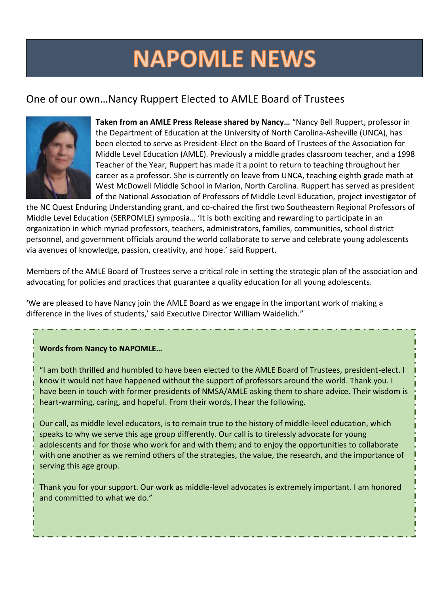# **NAPOMLE NEWS**

# One of our own…Nancy Ruppert Elected to AMLE Board of Trustees



**Taken from an AMLE Press Release shared by Nancy…** "Nancy Bell Ruppert, professor in the Department of Education at the University of North Carolina-Asheville (UNCA), has been elected to serve as President-Elect on the Board of Trustees of the Association for Middle Level Education (AMLE). Previously a middle grades classroom teacher, and a 1998 Teacher of the Year, Ruppert has made it a point to return to teaching throughout her career as a professor. She is currently on leave from UNCA, teaching eighth grade math at West McDowell Middle School in Marion, North Carolina. Ruppert has served as president of the National Association of Professors of Middle Level Education, project investigator of

the NC Quest Enduring Understanding grant, and co-chaired the first two Southeastern Regional Professors of Middle Level Education (SERPOMLE) symposia… 'It is both exciting and rewarding to participate in an organization in which myriad professors, teachers, administrators, families, communities, school district personnel, and government officials around the world collaborate to serve and celebrate young adolescents via avenues of knowledge, passion, creativity, and hope.' said Ruppert.

Members of the AMLE Board of Trustees serve a critical role in setting the strategic plan of the association and advocating for policies and practices that guarantee a quality education for all young adolescents.

'We are pleased to have Nancy join the AMLE Board as we engage in the important work of making a difference in the lives of students,' said Executive Director William Waidelich."

# **Words from Nancy to NAPOMLE…**

"I am both thrilled and humbled to have been elected to the AMLE Board of Trustees, president-elect. I know it would not have happened without the support of professors around the world. Thank you. I have been in touch with former presidents of NMSA/AMLE asking them to share advice. Their wisdom is heart-warming, caring, and hopeful. From their words, I hear the following.

Our call, as middle level educators, is to remain true to the history of middle-level education, which speaks to why we serve this age group differently. Our call is to tirelessly advocate for young adolescents and for those who work for and with them; and to enjoy the opportunities to collaborate with one another as we remind others of the strategies, the value, the research, and the importance of serving this age group.

Thank you for your support. Our work as middle-level advocates is extremely important. I am honored and committed to what we do."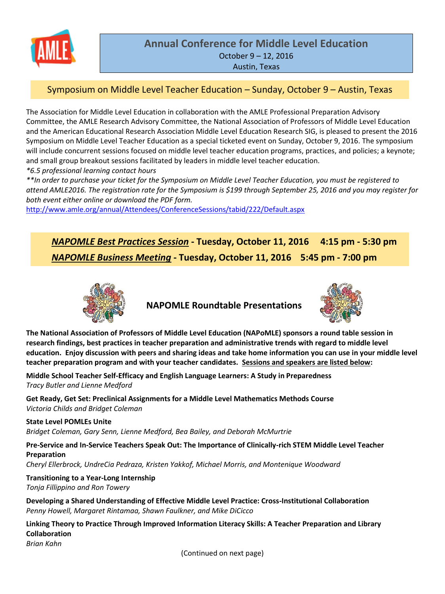

# **Annual Conference for Middle Level Education** October 9 – 12, 2016 Austin, Texas

# Symposium on Middle Level Teacher Education – Sunday, October 9 – Austin, Texas

The Association for Middle Level Education in collaboration with the AMLE Professional Preparation Advisory Committee, the AMLE Research Advisory Committee, the National Association of Professors of Middle Level Education and the American Educational Research Association Middle Level Education Research SIG, is pleased to present the 2016 Symposium on Middle Level Teacher Education as a special ticketed event on Sunday, October 9, 2016. The symposium will include concurrent sessions focused on middle level teacher education programs, practices, and policies; a keynote; and small group breakout sessions facilitated by leaders in middle level teacher education.

*\*6.5 professional learning contact hours*

\*\*In order to purchase your ticket for the Symposium on Middle Level Teacher Education, you must be reaistered to attend AMLE2016. The registration rate for the Symposium is \$199 through September 25, 2016 and you may register for *both event either online or download the PDF form.*

<http://www.amle.org/annual/Attendees/ConferenceSessions/tabid/222/Default.aspx>

*NAPOMLE Best Practices Session* **- Tuesday, October 11, 2016 4:15 pm - 5:30 pm** *NAPOMLE Business Meeting* **- Tuesday, October 11, 2016 5:45 pm - 7:00 pm**



**NAPOMLE Roundtable Presentations**



**The National Association of Professors of Middle Level Education (NAPoMLE) sponsors a round table session in research findings, best practices in teacher preparation and administrative trends with regard to middle level education. Enjoy discussion with peers and sharing ideas and take home information you can use in your middle level teacher preparation program and with your teacher candidates. Sessions and speakers are listed below:**

**Middle School Teacher Self-Efficacy and English Language Learners: A Study in Preparedness** *Tracy Butler and Lienne Medford*

**Get Ready, Get Set: Preclinical Assignments for a Middle Level Mathematics Methods Course** *Victoria Childs and Bridget Coleman*

#### **State Level POMLEs Unite**

*Bridget Coleman, Gary Senn, Lienne Medford, Bea Bailey, and Deborah McMurtrie*

**Pre-Service and In-Service Teachers Speak Out: The Importance of Clinically-rich STEM Middle Level Teacher Preparation**

*Cheryl Ellerbrock, UndreCia Pedraza, Kristen Yakkof, Michael Morris, and Montenique Woodward*

**Transitioning to a Year-Long Internship** *Tonja Fillippino and Ron Towery*

**Developing a Shared Understanding of Effective Middle Level Practice: Cross-Institutional Collaboration** *Penny Howell, Margaret Rintamaa, Shawn Faulkner, and Mike DiCicco*

**Linking Theory to Practice Through Improved Information Literacy Skills: A Teacher Preparation and Library Collaboration** *Brian Kahn*

(Continued on next page)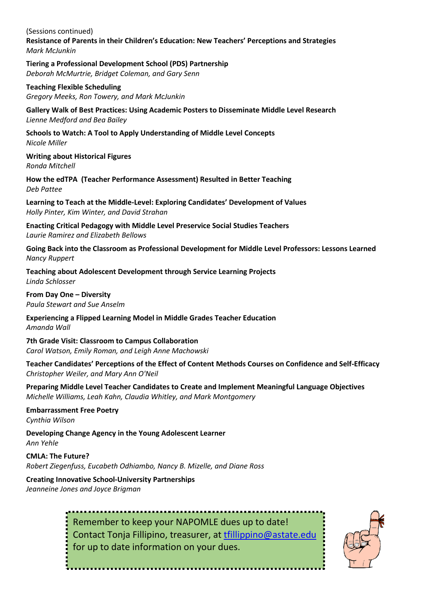(Sessions continued) **Resistance of Parents in their Children's Education: New Teachers' Perceptions and Strategies** *Mark McJunkin*

**Tiering a Professional Development School (PDS) Partnership** *Deborah McMurtrie, Bridget Coleman, and Gary Senn*

**Teaching Flexible Scheduling** *Gregory Meeks, Ron Towery, and Mark McJunkin*

**Gallery Walk of Best Practices: Using Academic Posters to Disseminate Middle Level Research** *Lienne Medford and Bea Bailey*

**Schools to Watch: A Tool to Apply Understanding of Middle Level Concepts** *Nicole Miller*

**Writing about Historical Figures** *Ronda Mitchell*

**How the edTPA (Teacher Performance Assessment) Resulted in Better Teaching** *Deb Pattee*

**Learning to Teach at the Middle-Level: Exploring Candidates' Development of Values** *Holly Pinter, Kim Winter, and David Strahan*

**Enacting Critical Pedagogy with Middle Level Preservice Social Studies Teachers** *Laurie Ramirez and Elizabeth Bellows*

**Going Back into the Classroom as Professional Development for Middle Level Professors: Lessons Learned** *Nancy Ruppert*

**Teaching about Adolescent Development through Service Learning Projects** *Linda Schlosser*

**From Day One – Diversity** *Paula Stewart and Sue Anselm*

**Experiencing a Flipped Learning Model in Middle Grades Teacher Education** *Amanda Wall*

**7th Grade Visit: Classroom to Campus Collaboration** *Carol Watson, Emily Roman, and Leigh Anne Machowski*

**Teacher Candidates' Perceptions of the Effect of Content Methods Courses on Confidence and Self-Efficacy** *Christopher Weiler, and Mary Ann O'Neil*

**Preparing Middle Level Teacher Candidates to Create and Implement Meaningful Language Objectives** *Michelle Williams, Leah Kahn, Claudia Whitley, and Mark Montgomery*

**Embarrassment Free Poetry** *Cynthia Wilson*

**Developing Change Agency in the Young Adolescent Learner** *Ann Yehle*

**CMLA: The Future?** *Robert Ziegenfuss, Eucabeth Odhiambo, Nancy B. Mizelle, and Diane Ross*

**Creating Innovative School-University Partnerships** *Jeanneine Jones and Joyce Brigman*

> Remember to keep your NAPOMLE dues up to date! Contact Tonja Fillipino, treasurer, at [tfillippino@astate.edu](mailto:tfillippino@astate.edu) for up to date information on your dues.

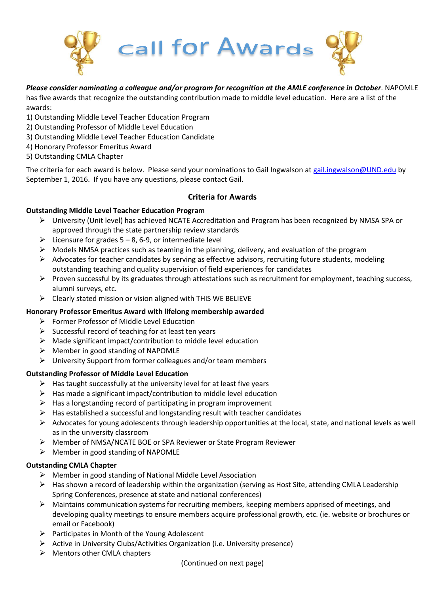

# *Please consider nominating a colleague and/or program for recognition at the AMLE conference in October*. NAPOMLE

has five awards that recognize the outstanding contribution made to middle level education. Here are a list of the awards:

- 1) Outstanding Middle Level Teacher Education Program
- 2) Outstanding Professor of Middle Level Education
- 3) Outstanding Middle Level Teacher Education Candidate
- 4) Honorary Professor Emeritus Award
- 5) Outstanding CMLA Chapter

The criteria for each award is below. Please send your nominations to Gail Ingwalson at [gail.ingwalson@UND.edu](mailto:gail.ingwalson@UND.edu) by September 1, 2016. If you have any questions, please contact Gail.

## **Criteria for Awards**

## **Outstanding Middle Level Teacher Education Program**

- University (Unit level) has achieved NCATE Accreditation and Program has been recognized by NMSA SPA or approved through the state partnership review standards
- $\triangleright$  Licensure for grades 5 8, 6-9, or intermediate level
- $\triangleright$  Models NMSA practices such as teaming in the planning, delivery, and evaluation of the program
- $\triangleright$  Advocates for teacher candidates by serving as effective advisors, recruiting future students, modeling outstanding teaching and quality supervision of field experiences for candidates
- $\triangleright$  Proven successful by its graduates through attestations such as recruitment for employment, teaching success, alumni surveys, etc.
- $\triangleright$  Clearly stated mission or vision aligned with THIS WE BELIEVE

#### **Honorary Professor Emeritus Award with lifelong membership awarded**

- Former Professor of Middle Level Education
- $\triangleright$  Successful record of teaching for at least ten years
- $\triangleright$  Made significant impact/contribution to middle level education
- $\triangleright$  Member in good standing of NAPOMLE
- $\triangleright$  University Support from former colleagues and/or team members

# **Outstanding Professor of Middle Level Education**

- $\triangleright$  Has taught successfully at the university level for at least five years
- $\triangleright$  Has made a significant impact/contribution to middle level education
- $\blacktriangleright$  Has a longstanding record of participating in program improvement
- $\triangleright$  Has established a successful and longstanding result with teacher candidates
- $\triangleright$  Advocates for young adolescents through leadership opportunities at the local, state, and national levels as well as in the university classroom
- Member of NMSA/NCATE BOE or SPA Reviewer or State Program Reviewer
- $\triangleright$  Member in good standing of NAPOMLE

#### **Outstanding CMLA Chapter**

- Member in good standing of National Middle Level Association
- $\triangleright$  Has shown a record of leadership within the organization (serving as Host Site, attending CMLA Leadership Spring Conferences, presence at state and national conferences)
- $\triangleright$  Maintains communication systems for recruiting members, keeping members apprised of meetings, and developing quality meetings to ensure members acquire professional growth, etc. (ie. website or brochures or email or Facebook)
- $\triangleright$  Participates in Month of the Young Adolescent
- Active in University Clubs/Activities Organization (i.e. University presence)
- $\triangleright$  Mentors other CMLA chapters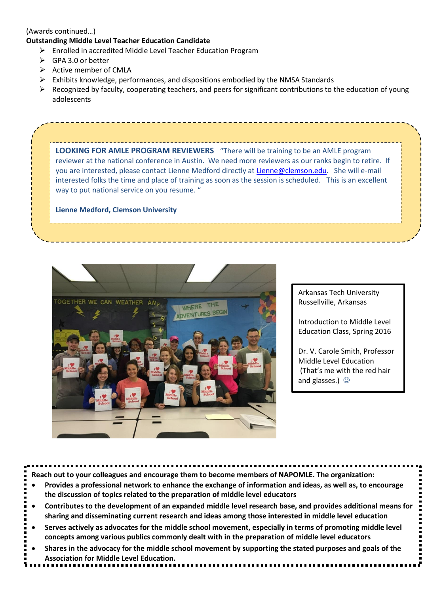#### (Awards continued…)

# **Outstanding Middle Level Teacher Education Candidate**

- $\triangleright$  Enrolled in accredited Middle Level Teacher Education Program
- GPA 3.0 or better
- $\triangleright$  Active member of CMLA
- $\triangleright$  Exhibits knowledge, performances, and dispositions embodied by the NMSA Standards
- $\triangleright$  Recognized by faculty, cooperating teachers, and peers for significant contributions to the education of young adolescents

**LOOKING FOR AMLE PROGRAM REVIEWERS** "There will be training to be an AMLE program reviewer at the national conference in Austin. We need more reviewers as our ranks begin to retire. If you are interested, please contact Lienne Medford directly a[t Lienne@clemson.edu.](mailto:Lienne@clemson.edu) She will e-mail interested folks the time and place of training as soon as the session is scheduled. This is an excellent way to put national service on you resume. "

**Lienne Medford, Clemson University**



Arkansas Tech University Russellville, Arkansas

Introduction to Middle Level Education Class, Spring 2016

Dr. V. Carole Smith, Professor Middle Level Education (That's me with the red hair and glasses.)  $\circledcirc$ 

|           | .<br>.                                                                                                                                                                                                                                                                                         |
|-----------|------------------------------------------------------------------------------------------------------------------------------------------------------------------------------------------------------------------------------------------------------------------------------------------------|
|           | Reach out to your colleagues and encourage them to become members of NAPOMLE. The organization:<br>Provides a professional network to enhance the exchange of information and ideas, as well as, to encourage<br>the discussion of topics related to the preparation of middle level educators |
| $\bullet$ | Contributes to the development of an expanded middle level research base, and provides additional means for<br>sharing and disseminating current research and ideas among those interested in middle level education                                                                           |
|           | Serves actively as advocates for the middle school movement, especially in terms of promoting middle level<br>concepts among various publics commonly dealt with in the preparation of middle level educators                                                                                  |
| $\bullet$ | Shares in the advocacy for the middle school movement by supporting the stated purposes and goals of the<br><b>Association for Middle Level Education.</b>                                                                                                                                     |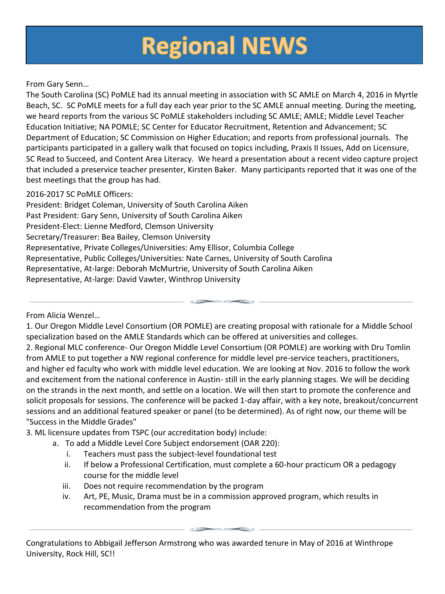# **Regional NEWS**

# From Gary Senn…

The South Carolina (SC) PoMLE had its annual meeting in association with SC AMLE on March 4, 2016 in Myrtle Beach, SC. SC PoMLE meets for a full day each year prior to the SC AMLE annual meeting. During the meeting, we heard reports from the various SC PoMLE stakeholders including SC AMLE; AMLE; Middle Level Teacher Education Initiative; NA POMLE; SC Center for Educator Recruitment, Retention and Advancement; SC Department of Education; SC Commission on Higher Education; and reports from professional journals. The participants participated in a gallery walk that focused on topics including, Praxis II Issues, Add on Licensure, SC Read to Succeed, and Content Area Literacy. We heard a presentation about a recent video capture project that included a preservice teacher presenter, Kirsten Baker. Many participants reported that it was one of the best meetings that the group has had.

# 2016-2017 SC PoMLE Officers:

President: Bridget Coleman, University of South Carolina Aiken Past President: Gary Senn, University of South Carolina Aiken President-Elect: Lienne Medford, Clemson University Secretary/Treasurer: Bea Bailey, Clemson University Representative, Private Colleges/Universities: Amy Ellisor, Columbia College Representative, Public Colleges/Universities: Nate Carnes, University of South Carolina Representative, At-large: Deborah McMurtrie, University of South Carolina Aiken Representative, At-large: David Vawter, Winthrop University

From Alicia Wenzel…

1. Our Oregon Middle Level Consortium (OR POMLE) are creating proposal with rationale for a Middle School specialization based on the AMLE Standards which can be offered at universities and colleges. 2. Regional MLC conference- Our Oregon Middle Level Consortium (OR POMLE) are working with Dru Tomlin from AMLE to put together a NW regional conference for middle level pre-service teachers, practitioners, and higher ed faculty who work with middle level education. We are looking at Nov. 2016 to follow the work and excitement from the national conference in Austin- still in the early planning stages. We will be deciding on the strands in the next month, and settle on a location. We will then start to promote the conference and solicit proposals for sessions. The conference will be packed 1-day affair, with a key note, breakout/concurrent sessions and an additional featured speaker or panel (to be determined). As of right now, our theme will be "Success in the Middle Grades"

3. ML licensure updates from TSPC (our accreditation body) include:

a. To add a Middle Level Core Subject endorsement (OAR 220):

- i. Teachers must pass the subject-level foundational test
- ii. If below a Professional Certification, must complete a 60-hour practicum OR a pedagogy course for the middle level
- iii. Does not require recommendation by the program
- iv. Art, PE, Music, Drama must be in a commission approved program, which results in recommendation from the program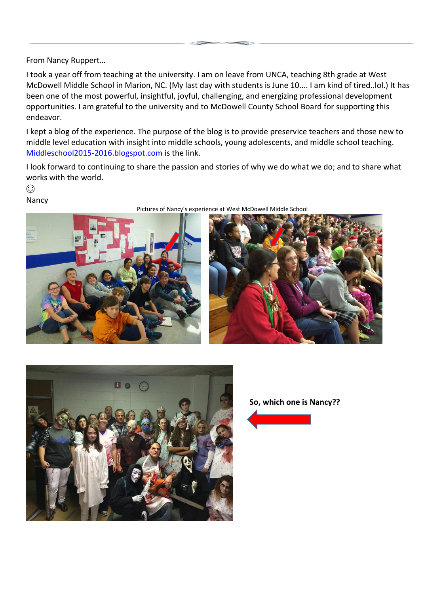From Nancy Ruppert…

I took a year off from teaching at the university. I am on leave from UNCA, teaching 8th grade at West McDowell Middle School in Marion, NC. (My last day with students is June 10.... I am kind of tired..lol.) It has been one of the most powerful, insightful, joyful, challenging, and energizing professional development opportunities. I am grateful to the university and to McDowell County School Board for supporting this endeavor.

I kept a blog of the experience. The purpose of the blog is to provide preservice teachers and those new to middle level education with insight into middle schools, young adolescents, and middle school teaching. [Middleschool2015-2016.blogspot.com](http://middleschool2015-2016.blogspot.com/) is the link.

I look forward to continuing to share the passion and stories of why we do what we do; and to share what works with the world.

 $\odot$ 





Pictures of Nancy's experience at West McDowell Middle School





**So, which one is Nancy??**